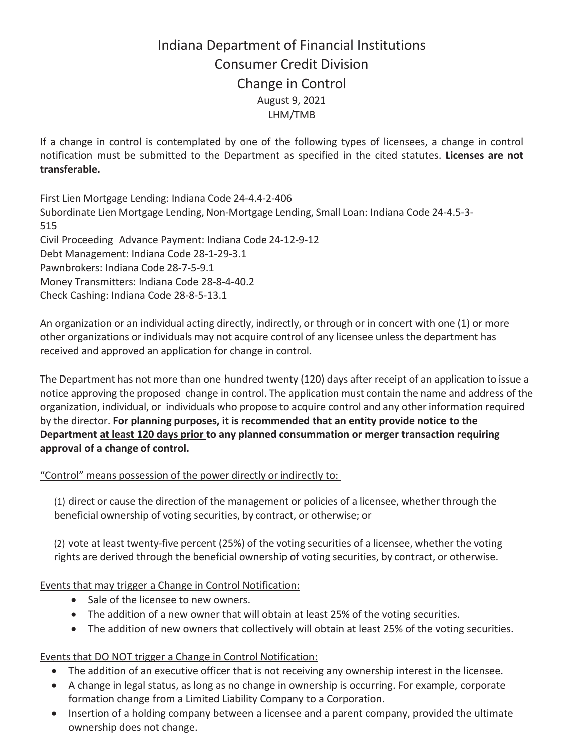## Indiana Department of Financial Institutions Consumer Credit Division Change in Control August 9, 2021 LHM/TMB

If a change in control is contemplated by one of the following types of licensees, a change in control notification must be submitted to the Department as specified in the cited statutes. **Licenses are not transferable.**

First Lien Mortgage Lending: Indiana Code 24-4.4-2-406 Subordinate Lien Mortgage Lending, Non-Mortgage Lending, Small Loan: Indiana Code 24-4.5-3- 515 Civil Proceeding Advance Payment: Indiana Code 24-12-9-12 Debt Management: Indiana Code 28-1-29-3.1 Pawnbrokers: Indiana Code 28-7-5-9.1 Money Transmitters: Indiana Code 28-8-4-40.2 Check Cashing: Indiana Code 28-8-5-13.1

An organization or an individual acting directly, indirectly, or through or in concert with one (1) or more other organizations or individuals may not acquire control of any licensee unless the department has received and approved an application for change in control.

The Department has not more than one hundred twenty (120) days after receipt of an application to issue a notice approving the proposed change in control. The application must contain the name and address of the organization, individual, or individuals who propose to acquire control and any other information required by the director. **For planning purposes, it is recommended that an entity provide notice to the Department at least 120 days prior to any planned consummation or merger transaction requiring approval of a change of control.**

"Control" means possession of the power directly or indirectly to:

(1) direct or cause the direction of the management or policies of a licensee, whether through the beneficial ownership of voting securities, by contract, or otherwise; or

(2) vote at least twenty-five percent (25%) of the voting securities of a licensee, whether the voting rights are derived through the beneficial ownership of voting securities, by contract, or otherwise.

Events that may trigger a Change in Control Notification:

- Sale of the licensee to new owners.
- The addition of a new owner that will obtain at least 25% of the voting securities.
- The addition of new owners that collectively will obtain at least 25% of the voting securities.

## Events that DO NOT trigger a Change in Control Notification:

- The addition of an executive officer that is not receiving any ownership interest in the licensee.
- A change in legal status, as long as no change in ownership is occurring. For example, corporate formation change from a Limited Liability Company to a Corporation.
- Insertion of a holding company between a licensee and a parent company, provided the ultimate ownership does not change.